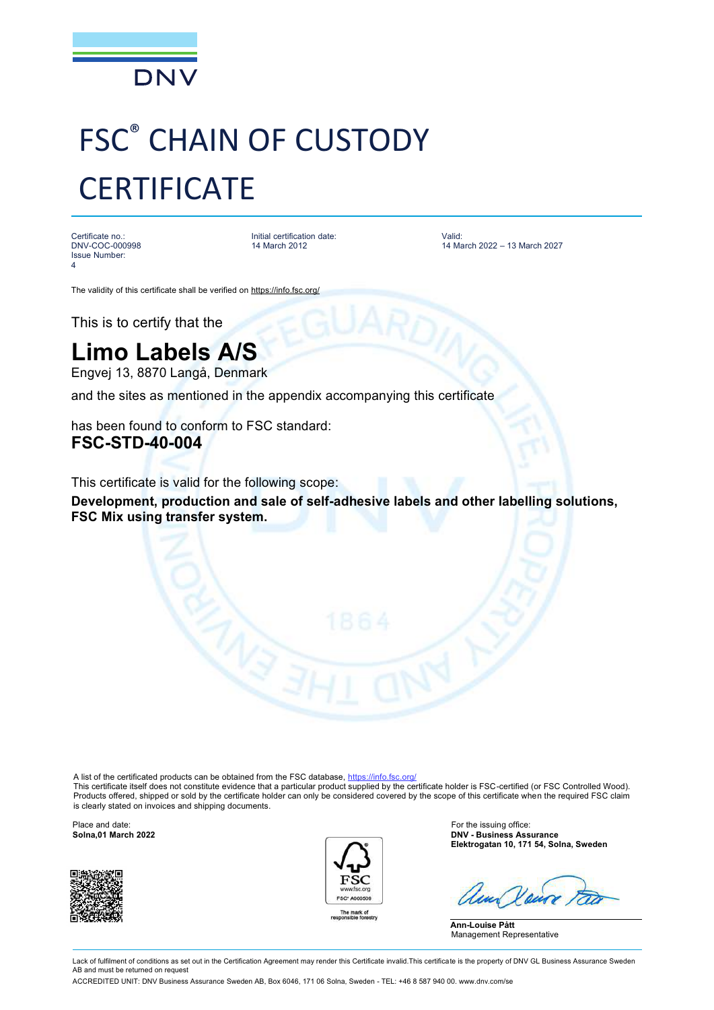

## FSC® CHAIN OF CUSTODY **CERTIFICATE**

Certificate no.: DNV-COC-000998 Issue Number: 4

Initial certification date: 14 March 2012

Valid: 14 March 2022 – 13 March 2027

The validity of this certificate shall be verified on <https://info.fsc.org/>

This is to certify that the

## **Limo Labels A/S**

Engvej 13, 8870 Langå, Denmark

and the sites as mentioned in the appendix accompanying this certificate

has been found to conform to FSC standard: **FSC-STD-40-004** 

This certificate is valid for the following scope:

**Development, production and sale of self-adhesive labels and other labelling solutions, FSC Mix using transfer system.**

A list of the certificated products can be obtained from the FSC database,<https://info.fsc.org/>

This certificate itself does not constitute evidence that a particular product supplied by the certificate holder is FSC-certified (or FSC Controlled Wood). Products offered, shipped or sold by the certificate holder can only be considered covered by the scope of this certificate when the required FSC claim is clearly stated on invoices and shipping documents.





Place and date: **For the issuing office: For the issuing office: For the issuing office: Solna,01 March 2022 Solna,01 March 2022 DNV - Business Assurance Elektrogatan 10, 171 54, Solna, Sweden**

**Ann-Louise Pått** Management Representative

Lack of fulfilment of conditions as set out in the Certification Agreement may render this Certificate invalid. This certificate is the property of DNV GL Business Assurance Sweden AB and must be returned on reques

ACCREDITED UNIT: DNV Business Assurance Sweden AB, Box 6046, 171 06 Solna, Sweden - TEL: +46 8 587 940 00. [www.dnv.com/se](http://www.dnv.com/se)